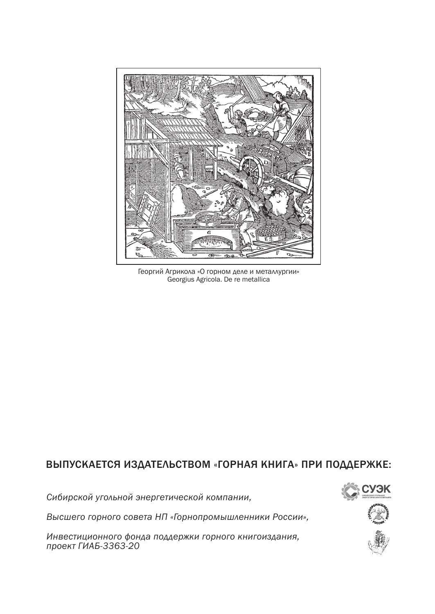

Георгий Агрикола «О горном деле и металлургии» Georgius Agricola. De re metallica

### ВЫПУСКАЕТСЯ ИЗДАТЕЛЬСТВОМ «ГОРНАЯ КНИГА» ПРИ ПОДДЕРЖКЕ:

*Сибирской угольной энергетической компании,* 

*Высшего горного совета НП «Горнопромышленники России»,*

*Инвестиционного фонда поддержки горного книгоиздания, проект ГИАБ-3363-20*

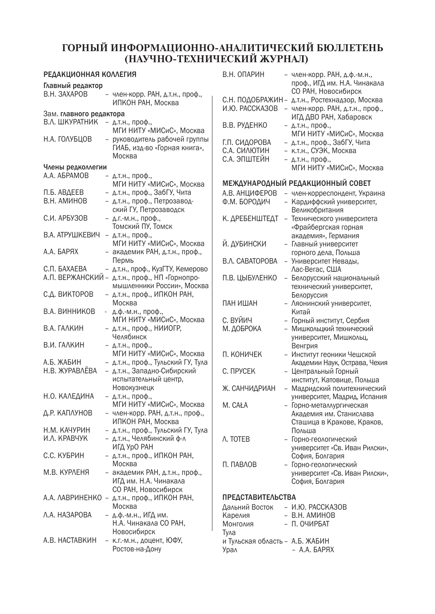### **ГОРНЫЙ ИНФОРМАЦИОННО-АНАЛИТИЧЕСКИЙ БЮЛЛЕТЕНЬ (НАУЧНО-ТЕХНИЧЕСКИЙ ЖУРНАЛ)**

| Главный редактор<br>B.H. 3AXAPOB<br>член-корр. РАН, д.т.н., проф.,<br>ИПКОН РАН, Москва<br>Зам. главного редактора<br>В.Л. ШКУРАТНИК<br>$-$ Д.Т.Н., Проф.,<br>МГИ НИТУ «МИСиС», Москва<br>руководитель рабочей группы<br>Н.А. ГОЛУБЦОВ<br>ГИАБ, изд-во «Горная книга»,<br>Москва<br>Члены редколлегии<br>A.A. ABPAMOB<br>$-$ Д.Т.Н., Проф.,<br>МГИ НИТУ «МИСиС», Москва<br>- д.т.н., проф., ЗабГУ, Чита<br>П.Б. АВДЕЕВ<br>В.Н. АМИНОВ<br>- д.т.н., проф., Петрозавод-<br>ский ГУ, Петрозаводск<br>- Д.Г.-М.Н., проф.,<br>С.И. АРБУЗОВ<br>Томский ПУ, Томск<br>В.А. АТРУШКЕВИЧ<br>- д.т.н., проф.,<br>МГИ НИТУ «МИСиС», Москва<br>- академик РАН, д.т.н., проф.,<br>А.А. БАРЯХ<br>Пермь<br>- д.т.н., проф., КузГТУ, Кемерово<br>С.П. БАХАЕВА<br>А.П. ВЕРЖАНСКИЙ - Д.Т.н., проф., НП «Горнопро-<br>мышленники России». Москва<br>- Д.Т.Н., проф., ИПКОН РАН,<br>С.Д. ВИКТОРОВ<br>Москва<br>В.А. ВИННИКОВ<br>д.ф.-м.н., проф., | РЕДАКЦИОННАЯ КОЛЛЕГИЯ |  |                          |  |  |
|-----------------------------------------------------------------------------------------------------------------------------------------------------------------------------------------------------------------------------------------------------------------------------------------------------------------------------------------------------------------------------------------------------------------------------------------------------------------------------------------------------------------------------------------------------------------------------------------------------------------------------------------------------------------------------------------------------------------------------------------------------------------------------------------------------------------------------------------------------------------------------------------------------------------------------|-----------------------|--|--------------------------|--|--|
|                                                                                                                                                                                                                                                                                                                                                                                                                                                                                                                                                                                                                                                                                                                                                                                                                                                                                                                             |                       |  |                          |  |  |
|                                                                                                                                                                                                                                                                                                                                                                                                                                                                                                                                                                                                                                                                                                                                                                                                                                                                                                                             |                       |  |                          |  |  |
|                                                                                                                                                                                                                                                                                                                                                                                                                                                                                                                                                                                                                                                                                                                                                                                                                                                                                                                             |                       |  |                          |  |  |
|                                                                                                                                                                                                                                                                                                                                                                                                                                                                                                                                                                                                                                                                                                                                                                                                                                                                                                                             |                       |  |                          |  |  |
|                                                                                                                                                                                                                                                                                                                                                                                                                                                                                                                                                                                                                                                                                                                                                                                                                                                                                                                             |                       |  |                          |  |  |
|                                                                                                                                                                                                                                                                                                                                                                                                                                                                                                                                                                                                                                                                                                                                                                                                                                                                                                                             |                       |  |                          |  |  |
|                                                                                                                                                                                                                                                                                                                                                                                                                                                                                                                                                                                                                                                                                                                                                                                                                                                                                                                             |                       |  |                          |  |  |
|                                                                                                                                                                                                                                                                                                                                                                                                                                                                                                                                                                                                                                                                                                                                                                                                                                                                                                                             |                       |  |                          |  |  |
|                                                                                                                                                                                                                                                                                                                                                                                                                                                                                                                                                                                                                                                                                                                                                                                                                                                                                                                             |                       |  |                          |  |  |
|                                                                                                                                                                                                                                                                                                                                                                                                                                                                                                                                                                                                                                                                                                                                                                                                                                                                                                                             |                       |  |                          |  |  |
|                                                                                                                                                                                                                                                                                                                                                                                                                                                                                                                                                                                                                                                                                                                                                                                                                                                                                                                             |                       |  |                          |  |  |
|                                                                                                                                                                                                                                                                                                                                                                                                                                                                                                                                                                                                                                                                                                                                                                                                                                                                                                                             |                       |  |                          |  |  |
|                                                                                                                                                                                                                                                                                                                                                                                                                                                                                                                                                                                                                                                                                                                                                                                                                                                                                                                             |                       |  |                          |  |  |
|                                                                                                                                                                                                                                                                                                                                                                                                                                                                                                                                                                                                                                                                                                                                                                                                                                                                                                                             |                       |  |                          |  |  |
|                                                                                                                                                                                                                                                                                                                                                                                                                                                                                                                                                                                                                                                                                                                                                                                                                                                                                                                             |                       |  |                          |  |  |
|                                                                                                                                                                                                                                                                                                                                                                                                                                                                                                                                                                                                                                                                                                                                                                                                                                                                                                                             |                       |  |                          |  |  |
|                                                                                                                                                                                                                                                                                                                                                                                                                                                                                                                                                                                                                                                                                                                                                                                                                                                                                                                             |                       |  |                          |  |  |
|                                                                                                                                                                                                                                                                                                                                                                                                                                                                                                                                                                                                                                                                                                                                                                                                                                                                                                                             |                       |  |                          |  |  |
|                                                                                                                                                                                                                                                                                                                                                                                                                                                                                                                                                                                                                                                                                                                                                                                                                                                                                                                             |                       |  |                          |  |  |
|                                                                                                                                                                                                                                                                                                                                                                                                                                                                                                                                                                                                                                                                                                                                                                                                                                                                                                                             |                       |  |                          |  |  |
|                                                                                                                                                                                                                                                                                                                                                                                                                                                                                                                                                                                                                                                                                                                                                                                                                                                                                                                             |                       |  |                          |  |  |
|                                                                                                                                                                                                                                                                                                                                                                                                                                                                                                                                                                                                                                                                                                                                                                                                                                                                                                                             |                       |  |                          |  |  |
|                                                                                                                                                                                                                                                                                                                                                                                                                                                                                                                                                                                                                                                                                                                                                                                                                                                                                                                             |                       |  | МГИ НИТУ «МИСиС», Москва |  |  |
| - д.т.н., проф., НИИОГР,<br>В.А. ГАЛКИН                                                                                                                                                                                                                                                                                                                                                                                                                                                                                                                                                                                                                                                                                                                                                                                                                                                                                     |                       |  |                          |  |  |
| Челябинск                                                                                                                                                                                                                                                                                                                                                                                                                                                                                                                                                                                                                                                                                                                                                                                                                                                                                                                   |                       |  |                          |  |  |
| В.И. ГАЛКИН<br>- д.т.н., проф.,                                                                                                                                                                                                                                                                                                                                                                                                                                                                                                                                                                                                                                                                                                                                                                                                                                                                                             |                       |  |                          |  |  |
| МГИ НИТУ «МИСиС», Москва                                                                                                                                                                                                                                                                                                                                                                                                                                                                                                                                                                                                                                                                                                                                                                                                                                                                                                    |                       |  |                          |  |  |
| - д.т.н., проф., Тульский ГУ, Тула<br>А.Б. ЖАБИН<br>Н.В. ЖУРАВЛЁВА                                                                                                                                                                                                                                                                                                                                                                                                                                                                                                                                                                                                                                                                                                                                                                                                                                                          |                       |  |                          |  |  |
| - д.т.н., Западно-Сибирский                                                                                                                                                                                                                                                                                                                                                                                                                                                                                                                                                                                                                                                                                                                                                                                                                                                                                                 |                       |  |                          |  |  |
| испытательный центр,                                                                                                                                                                                                                                                                                                                                                                                                                                                                                                                                                                                                                                                                                                                                                                                                                                                                                                        |                       |  |                          |  |  |
| Новокузнецк                                                                                                                                                                                                                                                                                                                                                                                                                                                                                                                                                                                                                                                                                                                                                                                                                                                                                                                 |                       |  |                          |  |  |
| Н.О. КАЛЕДИНА<br>- д.т.н., проф.,<br>МГИ НИТУ «МИСиС», Москва                                                                                                                                                                                                                                                                                                                                                                                                                                                                                                                                                                                                                                                                                                                                                                                                                                                               |                       |  |                          |  |  |
| - член-корр. РАН, д.т.н., проф.,<br>Д.Р. КАПЛУНОВ                                                                                                                                                                                                                                                                                                                                                                                                                                                                                                                                                                                                                                                                                                                                                                                                                                                                           |                       |  |                          |  |  |
| ИПКОН РАН, Москва                                                                                                                                                                                                                                                                                                                                                                                                                                                                                                                                                                                                                                                                                                                                                                                                                                                                                                           |                       |  |                          |  |  |
| - д.т.н., проф., Тульский ГУ, Тула<br>Н.М. КАЧУРИН                                                                                                                                                                                                                                                                                                                                                                                                                                                                                                                                                                                                                                                                                                                                                                                                                                                                          |                       |  |                          |  |  |
| И.Л. КРАВЧУК<br>- д.т.н., Челябинский ф-л                                                                                                                                                                                                                                                                                                                                                                                                                                                                                                                                                                                                                                                                                                                                                                                                                                                                                   |                       |  |                          |  |  |
| ИГД УрО РАН                                                                                                                                                                                                                                                                                                                                                                                                                                                                                                                                                                                                                                                                                                                                                                                                                                                                                                                 |                       |  |                          |  |  |
| - Д.Т.Н., проф., ИПКОН РАН,<br>С.С. КУБРИН                                                                                                                                                                                                                                                                                                                                                                                                                                                                                                                                                                                                                                                                                                                                                                                                                                                                                  |                       |  |                          |  |  |
| Москва                                                                                                                                                                                                                                                                                                                                                                                                                                                                                                                                                                                                                                                                                                                                                                                                                                                                                                                      |                       |  |                          |  |  |
| М.В. КУРЛЕНЯ<br>академик РАН, д.т.н., проф.                                                                                                                                                                                                                                                                                                                                                                                                                                                                                                                                                                                                                                                                                                                                                                                                                                                                                 |                       |  |                          |  |  |
| ИГД им. Н.А. Чинакала                                                                                                                                                                                                                                                                                                                                                                                                                                                                                                                                                                                                                                                                                                                                                                                                                                                                                                       |                       |  |                          |  |  |
| СО РАН, Новосибирск                                                                                                                                                                                                                                                                                                                                                                                                                                                                                                                                                                                                                                                                                                                                                                                                                                                                                                         |                       |  |                          |  |  |
| А.А. ЛАВРИНЕНКО - Д.Т.Н., проф., ИПКОН РАН,<br>Москва                                                                                                                                                                                                                                                                                                                                                                                                                                                                                                                                                                                                                                                                                                                                                                                                                                                                       |                       |  |                          |  |  |
| Л.А. НАЗАРОВА<br>- д.ф.-м.н., ИГД им.                                                                                                                                                                                                                                                                                                                                                                                                                                                                                                                                                                                                                                                                                                                                                                                                                                                                                       |                       |  |                          |  |  |
| Н.А. Чинакала СО РАН,                                                                                                                                                                                                                                                                                                                                                                                                                                                                                                                                                                                                                                                                                                                                                                                                                                                                                                       |                       |  |                          |  |  |
| Новосибирск                                                                                                                                                                                                                                                                                                                                                                                                                                                                                                                                                                                                                                                                                                                                                                                                                                                                                                                 |                       |  |                          |  |  |
| A.B. HACTABKUH<br>- к.г.-м.н., доцент, ЮФУ,<br>Ростов-на-Дону                                                                                                                                                                                                                                                                                                                                                                                                                                                                                                                                                                                                                                                                                                                                                                                                                                                               |                       |  |                          |  |  |

| .                                   |                          | .                                                                                     |  |  |
|-------------------------------------|--------------------------|---------------------------------------------------------------------------------------|--|--|
| В.Н. ОПАРИН                         |                          | член-корр. РАН, д.ф.-м.н.,<br>проф., ИГД им. Н.А. Чинакала                            |  |  |
| С.Н. ПОДОБРАЖИН -<br>И.Ю. РАССКАЗОВ | $\overline{\phantom{0}}$ | СО РАН, Новосибирск<br>д.т.н., Ростехнадзор, Москва<br>член-корр. РАН, д.т.н., проф., |  |  |
|                                     |                          | ИГД ДВО РАН, Хабаровск                                                                |  |  |
| В.В. РУДЕНКО                        |                          | $-$ Д.Т.Н., Проф.,<br>МГИ НИТУ «МИСиС», Москва                                        |  |  |
| Г.П. СИДОРОВА                       |                          | - д.т.н., проф., ЗабГУ, Чита                                                          |  |  |
| С.А. СИЛЮТИН                        |                          | - к.т.н., СУЭК, Москва                                                                |  |  |
| С.А. ЭПШТЕЙН                        |                          | $-$ Д.Т.Н., проф.,<br>МГИ НИТУ «МИСиС», Москва                                        |  |  |
|                                     |                          | МЕЖДУНАРОДНЫЙ РЕДАКЦИОННЫЙ СОВЕТ                                                      |  |  |
| А.В. АНЦИФЕРОВ                      |                          | член-корреспондент, Украина                                                           |  |  |
| Ф.М. БОРОДИЧ                        |                          | - Кардиффский университет,                                                            |  |  |
| К. ДРЕБЕНШТЕДТ                      |                          | Великобритания                                                                        |  |  |
|                                     |                          | - Технического университета<br>«Фрайбергская горная                                   |  |  |
|                                     |                          | академия», Германия                                                                   |  |  |
| Й. ДУБИНСКИ                         |                          | - Главный университет                                                                 |  |  |
|                                     |                          | горного дела, Польша                                                                  |  |  |
| B.A. CABATOPOBA                     |                          | - Университет Невады,                                                                 |  |  |
| П.В. ЦЫБУЛЕНКО                      |                          | Лас-Вегас, США<br>- Белорусский национальный                                          |  |  |
|                                     |                          | технический университет,                                                              |  |  |
|                                     |                          | Белоруссия                                                                            |  |  |
| ПАН ИШАН                            |                          | - Ляонинский университет,                                                             |  |  |
|                                     |                          | Китай                                                                                 |  |  |
| С. ВУЙИЧ                            |                          | - Горный институт, Сербия                                                             |  |  |
| М. ДОБРОКА                          |                          | Мишкольцкий технический<br>университет, Мишкольц,                                     |  |  |
|                                     |                          | Венгрия                                                                               |  |  |
| П. КОНИЧЕК                          |                          | - Институт геоники Чешской                                                            |  |  |
|                                     |                          | Академии Наук, Острава, Чехия                                                         |  |  |
| С. ПРУСЕК                           |                          | - Центральный Горный<br>институт, Катовице, Польша                                    |  |  |
| Ж. САНЧИДРИАН                       |                          | - Мадридский политехнический                                                          |  |  |
|                                     |                          | университет, Мадрид, Испания                                                          |  |  |
| M. CAŁA                             |                          | - Горно-металлургическая<br>Академия им. Станислава                                   |  |  |
|                                     |                          | Сташица в Кракове, Краков,                                                            |  |  |
|                                     |                          | Польша                                                                                |  |  |
| A. TOTEB                            |                          | - Горно-геологический                                                                 |  |  |
|                                     |                          | университет «Св. Иван Рилски»,                                                        |  |  |
|                                     |                          | София, Болгария                                                                       |  |  |
| П. ПАВЛОВ                           |                          | - Горно-геологический<br>университет «Св. Иван Рилски»,                               |  |  |
|                                     |                          | София, Болгария                                                                       |  |  |
| <b>ПРЕДСТАВИТЕЛЬСТВА</b>            |                          |                                                                                       |  |  |
| Дальний Восток                      |                          | - И.Ю. РАССКАЗОВ                                                                      |  |  |
| Карелия                             |                          | – В.Н. АМИНОВ                                                                         |  |  |
| Монголия                            | $\overline{\phantom{0}}$ | П. ОЧИРБАТ                                                                            |  |  |
| Тула                                |                          |                                                                                       |  |  |
| и Тульская область - А.Б. ЖАБИН     |                          |                                                                                       |  |  |

Урал – А.А. БАРЯХ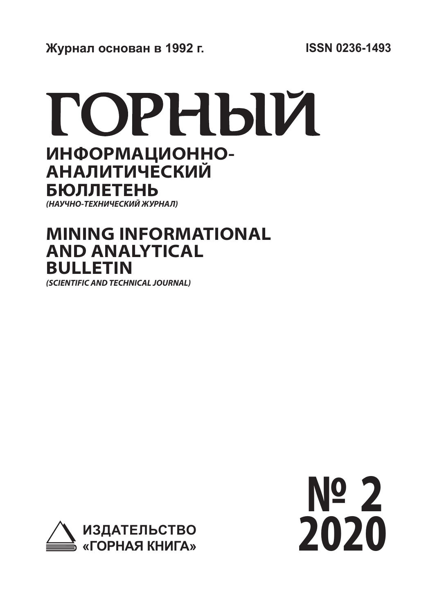# ГОРНЫЙ **ИНФОРМАЦИОННО-АНАЛИТИЧЕСКИЙ**

**БЮЛЛЕТЕНЬ** *(НАУЧНО-ТЕХНИЧЕСКИЙ ЖУРНАЛ)*

## **MINING INFORMATIONAL AND ANALYTICAL BULLETIN**

*(SCIENTIFIC AND TECHNICAL JOURNAL)*